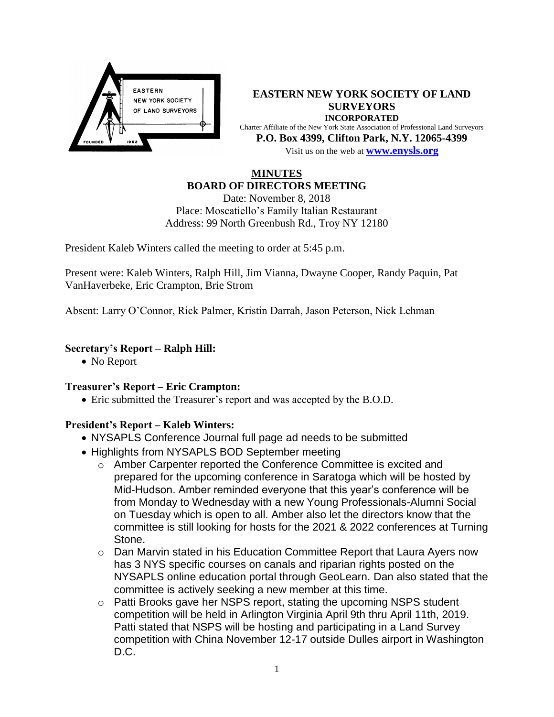

**EASTERN NEW YORK SOCIETY OF LAND SURVEYORS INCORPORATED** Charter Affiliate of the New York State Association of Professional Land Surveyors **P.O. Box 4399, Clifton Park, N.Y. 12065-4399** Visit us on the web at **[www.e](http://www.enysls.org/)nysls.org**

### **MINUTES BOARD OF DIRECTORS MEETING**

Date: November 8, 2018 Place: Moscatiello's Family Italian Restaurant Address: 99 North Greenbush Rd., Troy NY 12180

President Kaleb Winters called the meeting to order at 5:45 p.m.

Present were: Kaleb Winters, Ralph Hill, Jim Vianna, Dwayne Cooper, Randy Paquin, Pat VanHaverbeke, Eric Crampton, Brie Strom

Absent: Larry O'Connor, Rick Palmer, Kristin Darrah, Jason Peterson, Nick Lehman

### **Secretary's Report – Ralph Hill:**

• No Report

### **Treasurer's Report – Eric Crampton:**

Eric submitted the Treasurer's report and was accepted by the B.O.D.

## **President's Report – Kaleb Winters:**

- NYSAPLS Conference Journal full page ad needs to be submitted
- Highlights from NYSAPLS BOD September meeting
	- o Amber Carpenter reported the Conference Committee is excited and prepared for the upcoming conference in Saratoga which will be hosted by Mid-Hudson. Amber reminded everyone that this year's conference will be from Monday to Wednesday with a new Young Professionals-Alumni Social on Tuesday which is open to all. Amber also let the directors know that the committee is still looking for hosts for the 2021 & 2022 conferences at Turning Stone.
	- o Dan Marvin stated in his Education Committee Report that Laura Ayers now has 3 NYS specific courses on canals and riparian rights posted on the NYSAPLS online education portal through GeoLearn. Dan also stated that the committee is actively seeking a new member at this time.
	- o Patti Brooks gave her NSPS report, stating the upcoming NSPS student competition will be held in Arlington Virginia April 9th thru April 11th, 2019. Patti stated that NSPS will be hosting and participating in a Land Survey competition with China November 12-17 outside Dulles airport in Washington D.C.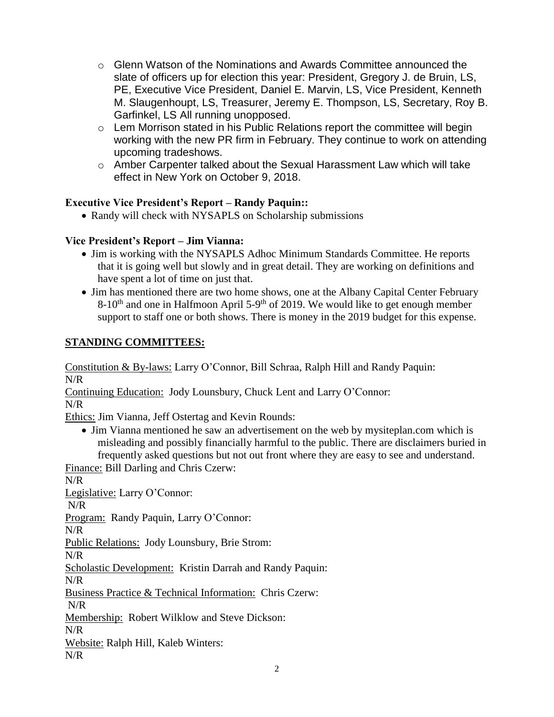- $\circ$  Glenn Watson of the Nominations and Awards Committee announced the slate of officers up for election this year: President, Gregory J. de Bruin, LS, PE, Executive Vice President, Daniel E. Marvin, LS, Vice President, Kenneth M. Slaugenhoupt, LS, Treasurer, Jeremy E. Thompson, LS, Secretary, Roy B. Garfinkel, LS All running unopposed.
- o Lem Morrison stated in his Public Relations report the committee will begin working with the new PR firm in February. They continue to work on attending upcoming tradeshows.
- o Amber Carpenter talked about the Sexual Harassment Law which will take effect in New York on October 9, 2018.

## **Executive Vice President's Report – Randy Paquin::**

• Randy will check with NYSAPLS on Scholarship submissions

## **Vice President's Report – Jim Vianna:**

- Jim is working with the NYSAPLS Adhoc Minimum Standards Committee. He reports that it is going well but slowly and in great detail. They are working on definitions and have spent a lot of time on just that.
- Jim has mentioned there are two home shows, one at the Albany Capital Center February  $8\t{-}10<sup>th</sup>$  and one in Halfmoon April 5-9<sup>th</sup> of 2019. We would like to get enough member support to staff one or both shows. There is money in the 2019 budget for this expense.

# **STANDING COMMITTEES:**

Constitution & By-laws: Larry O'Connor, Bill Schraa, Ralph Hill and Randy Paquin: N/R

Continuing Education: Jody Lounsbury, Chuck Lent and Larry O'Connor:

N/R

Ethics: Jim Vianna, Jeff Ostertag and Kevin Rounds:

• Jim Vianna mentioned he saw an advertisement on the web by mysiteplan.com which is misleading and possibly financially harmful to the public. There are disclaimers buried in frequently asked questions but not out front where they are easy to see and understand.

Finance: Bill Darling and Chris Czerw:

N/R

Legislative: Larry O'Connor:

N/R

Program: Randy Paquin, Larry O'Connor:

N/R

Public Relations: Jody Lounsbury, Brie Strom:

N/R

Scholastic Development: Kristin Darrah and Randy Paquin:

N/R

Business Practice & Technical Information: Chris Czerw:

N/R

Membership: Robert Wilklow and Steve Dickson:

N/R

Website: Ralph Hill, Kaleb Winters:

N/R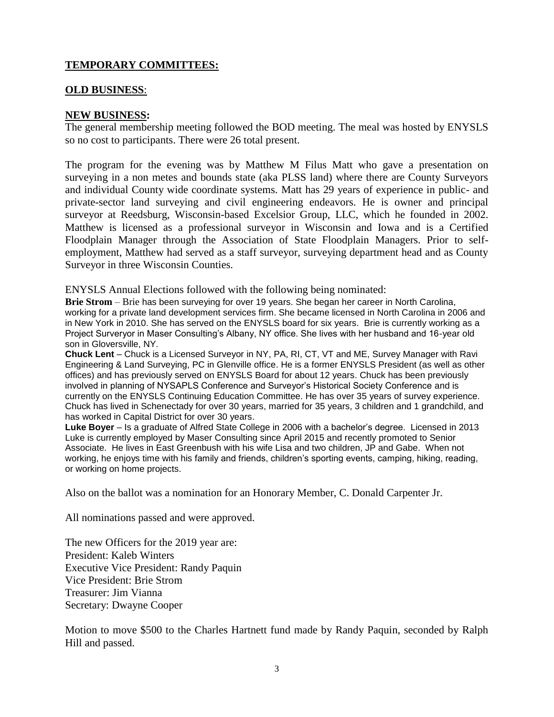## **TEMPORARY COMMITTEES:**

### **OLD BUSINESS**:

### **NEW BUSINESS:**

The general membership meeting followed the BOD meeting. The meal was hosted by ENYSLS so no cost to participants. There were 26 total present.

The program for the evening was by Matthew M Filus Matt who gave a presentation on surveying in a non metes and bounds state (aka PLSS land) where there are County Surveyors and individual County wide coordinate systems. Matt has 29 years of experience in public- and private-sector land surveying and civil engineering endeavors. He is owner and principal surveyor at Reedsburg, Wisconsin-based Excelsior Group, LLC, which he founded in 2002. Matthew is licensed as a professional surveyor in Wisconsin and Iowa and is a Certified Floodplain Manager through the Association of State Floodplain Managers. Prior to selfemployment, Matthew had served as a staff surveyor, surveying department head and as County Surveyor in three Wisconsin Counties.

ENYSLS Annual Elections followed with the following being nominated:

**Brie Strom** – Brie has been surveying for over 19 years. She began her career in North Carolina, working for a private land development services firm. She became licensed in North Carolina in 2006 and in New York in 2010. She has served on the ENYSLS board for six years. Brie is currently working as a Project Surveryor in Maser Consulting's Albany, NY office. She lives with her husband and 16-year old son in Gloversville, NY.

**Chuck Lent** – Chuck is a Licensed Surveyor in NY, PA, RI, CT, VT and ME, Survey Manager with Ravi Engineering & Land Surveying, PC in Glenville office. He is a former ENYSLS President (as well as other offices) and has previously served on ENYSLS Board for about 12 years. Chuck has been previously involved in planning of NYSAPLS Conference and Surveyor's Historical Society Conference and is currently on the ENYSLS Continuing Education Committee. He has over 35 years of survey experience. Chuck has lived in Schenectady for over 30 years, married for 35 years, 3 children and 1 grandchild, and has worked in Capital District for over 30 years.

**Luke Boyer** – Is a graduate of Alfred State College in 2006 with a bachelor's degree. Licensed in 2013 Luke is currently employed by Maser Consulting since April 2015 and recently promoted to Senior Associate. He lives in East Greenbush with his wife Lisa and two children, JP and Gabe. When not working, he enjoys time with his family and friends, children's sporting events, camping, hiking, reading, or working on home projects.

Also on the ballot was a nomination for an Honorary Member, C. Donald Carpenter Jr.

All nominations passed and were approved.

The new Officers for the 2019 year are: President: Kaleb Winters Executive Vice President: Randy Paquin Vice President: Brie Strom Treasurer: Jim Vianna Secretary: Dwayne Cooper

Motion to move \$500 to the Charles Hartnett fund made by Randy Paquin, seconded by Ralph Hill and passed.